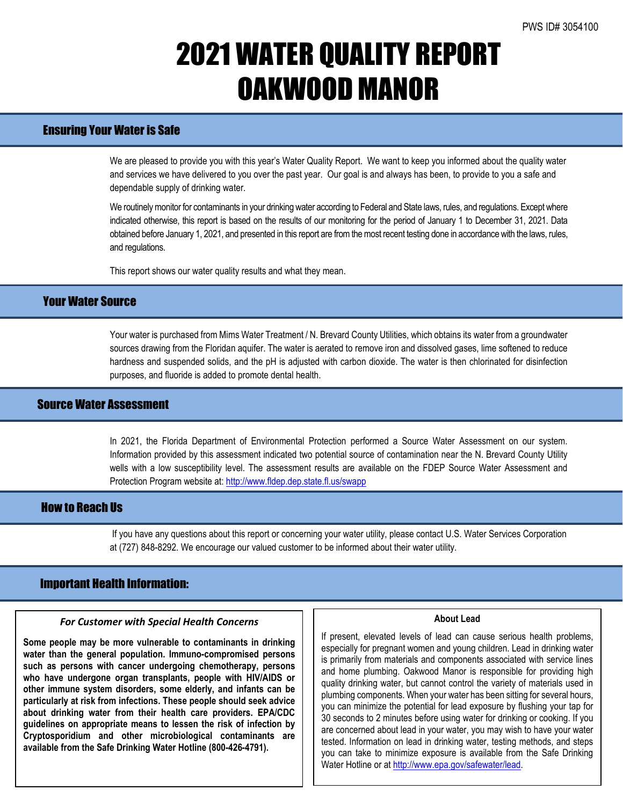# 2021 WATER QUALITY REPORT OAKWOOD MANOR

## Ensuring Your Water is Safe

We are pleased to provide you with this year's Water Quality Report. We want to keep you informed about the quality water and services we have delivered to you over the past year. Our goal is and always has been, to provide to you a safe and dependable supply of drinking water.

We routinely monitor for contaminants in your drinking water according to Federal and State laws, rules, and regulations. Except where indicated otherwise, this report is based on the results of our monitoring for the period of January 1 to December 31, 2021. Data obtained before January 1, 2021, and presented in this report are from the most recent testing done in accordance with the laws, rules, and regulations.

This report shows our water quality results and what they mean.

## Your Water Source

Your water is purchased from Mims Water Treatment / N. Brevard County Utilities, which obtains its water from a groundwater sources drawing from the Floridan aquifer. The water is aerated to remove iron and dissolved gases, lime softened to reduce hardness and suspended solids, and the pH is adjusted with carbon dioxide. The water is then chlorinated for disinfection purposes, and fluoride is added to promote dental health.

### Source Water Assessment

In 2021, the Florida Department of Environmental Protection performed a Source Water Assessment on our system. Information provided by this assessment indicated two potential source of contamination near the N. Brevard County Utility wells with a low susceptibility level. The assessment results are available on the FDEP Source Water Assessment and Protection Program website at: <http://www.fldep.dep.state.fl.us/swapp>

### How to Reach Us

If you have any questions about this report or concerning your water utility, please contact U.S. Water Services Corporation at (727) 848-8292. We encourage our valued customer to be informed about their water utility.

### Important Health Information:

#### *For Customer with Special Health Concerns*

**Some people may be more vulnerable to contaminants in drinking water than the general population. Immuno-compromised persons such as persons with cancer undergoing chemotherapy, persons who have undergone organ transplants, people with HIV/AIDS or other immune system disorders, some elderly, and infants can be particularly at risk from infections. These people should seek advice about drinking water from their health care providers. EPA/CDC guidelines on appropriate means to lessen the risk of infection by Cryptosporidium and other microbiological contaminants are available from the Safe Drinking Water Hotline (800-426-4791).**

#### **About Lead**

If present, elevated levels of lead can cause serious health problems, especially for pregnant women and young children. Lead in drinking water is primarily from materials and components associated with service lines and home plumbing. Oakwood Manor is responsible for providing high quality drinking water, but cannot control the variety of materials used in plumbing components. When your water has been sitting for several hours, you can minimize the potential for lead exposure by flushing your tap for 30 seconds to 2 minutes before using water for drinking or cooking. If you are concerned about lead in your water, you may wish to have your water tested. Information on lead in drinking water, testing methods, and steps you can take to minimize exposure is available from the Safe Drinking Water Hotline or a[t http://www.epa.gov/safewater/lead.](http://www.epa.gov/safewater/lead)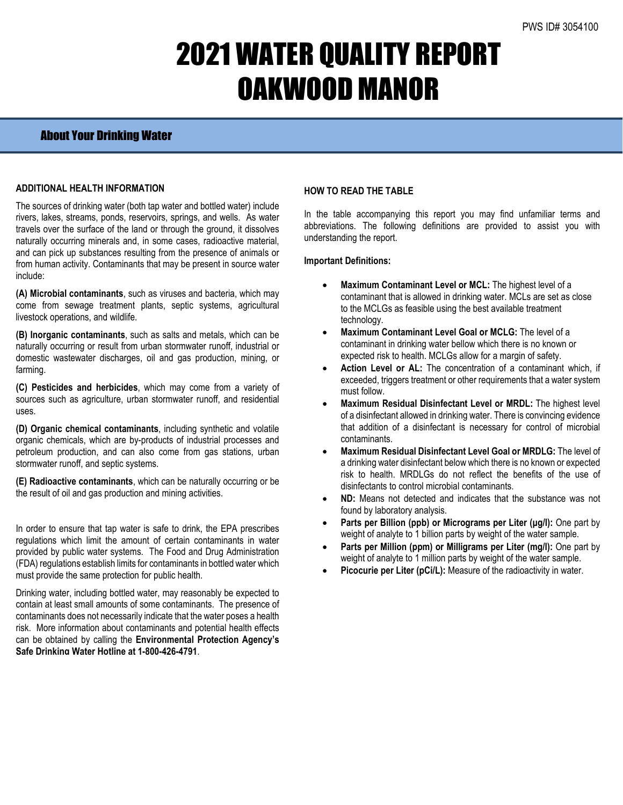# 2021 WATER QUALITY REPORT OAKWOOD MANOR

### About Your Drinking Water

### **ADDITIONAL HEALTH INFORMATION**

The sources of drinking water (both tap water and bottled water) include rivers, lakes, streams, ponds, reservoirs, springs, and wells. As water travels over the surface of the land or through the ground, it dissolves naturally occurring minerals and, in some cases, radioactive material, and can pick up substances resulting from the presence of animals or from human activity. Contaminants that may be present in source water include:

**(A) Microbial contaminants**, such as viruses and bacteria, which may come from sewage treatment plants, septic systems, agricultural livestock operations, and wildlife.

**(B) Inorganic contaminants**, such as salts and metals, which can be naturally occurring or result from urban stormwater runoff, industrial or domestic wastewater discharges, oil and gas production, mining, or farming.

**(C) Pesticides and herbicides**, which may come from a variety of sources such as agriculture, urban stormwater runoff, and residential uses.

**(D) Organic chemical contaminants**, including synthetic and volatile organic chemicals, which are by-products of industrial processes and petroleum production, and can also come from gas stations, urban stormwater runoff, and septic systems.

**(E) Radioactive contaminants**, which can be naturally occurring or be the result of oil and gas production and mining activities.

In order to ensure that tap water is safe to drink, the EPA prescribes regulations which limit the amount of certain contaminants in water provided by public water systems. The Food and Drug Administration (FDA) regulations establish limits for contaminants in bottled water which must provide the same protection for public health.

Drinking water, including bottled water, may reasonably be expected to contain at least small amounts of some contaminants. The presence of contaminants does not necessarily indicate that the water poses a health risk. More information about contaminants and potential health effects can be obtained by calling the **Environmental Protection Agency's Safe Drinking Water Hotline at 1-800-426-4791**.

### **HOW TO READ THE TABLE**

In the table accompanying this report you may find unfamiliar terms and abbreviations. The following definitions are provided to assist you with understanding the report.

#### **Important Definitions:**

- **Maximum Contaminant Level or MCL:** The highest level of a contaminant that is allowed in drinking water. MCLs are set as close to the MCLGs as feasible using the best available treatment technology.
- **Maximum Contaminant Level Goal or MCLG:** The level of a contaminant in drinking water bellow which there is no known or expected risk to health. MCLGs allow for a margin of safety.
- Action Level or AL: The concentration of a contaminant which, if exceeded, triggers treatment or other requirements that a water system must follow.
- **Maximum Residual Disinfectant Level or MRDL:** The highest level of a disinfectant allowed in drinking water. There is convincing evidence that addition of a disinfectant is necessary for control of microbial contaminants.
- **Maximum Residual Disinfectant Level Goal or MRDLG:** The level of a drinking water disinfectant below which there is no known or expected risk to health. MRDLGs do not reflect the benefits of the use of disinfectants to control microbial contaminants.
- **ND:** Means not detected and indicates that the substance was not found by laboratory analysis.
- **Parts per Billion (ppb) or Micrograms per Liter (μg/l):** One part by weight of analyte to 1 billion parts by weight of the water sample.
- **Parts per Million (ppm) or Milligrams per Liter (mg/l):** One part by weight of analyte to 1 million parts by weight of the water sample.
- Picocurie per Liter (pCi/L): Measure of the radioactivity in water.